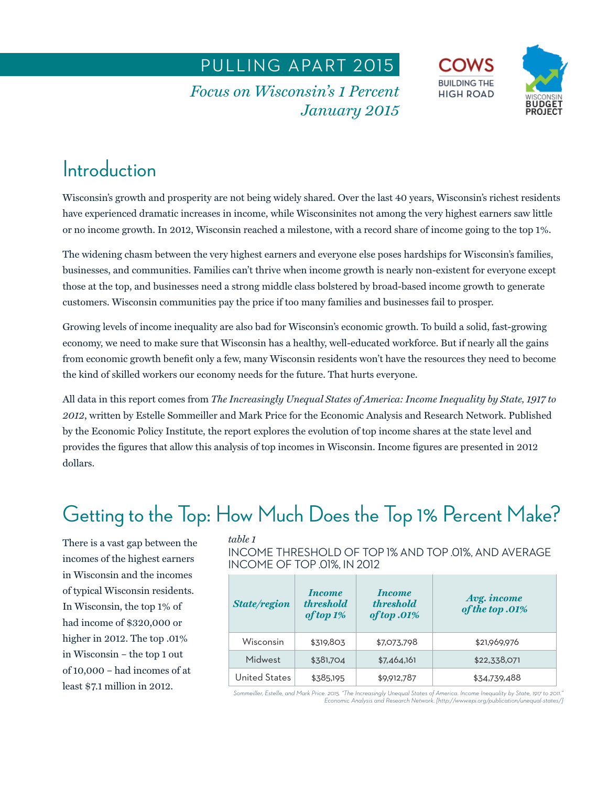PULLING APART 2015

**Focus on Wisconsin's 1 Percent** *<i>January* 2015 *January 2015*





# **Introduction**

Wisconsin's growth and prosperity are not being widely shared. Over the last 40 years, Wisconsin's richest residents have experienced dramatic increases in income, while Wisconsinites not among the very highest earners saw little or no income growth. In 2012, Wisconsin reached a milestone, with a record share of income going to the top 1%.

The widening chasm between the very highest earners and everyone else poses hardships for Wisconsin's families, businesses, and communities. Families can't thrive when income growth is nearly non-existent for everyone except those at the top, and businesses need a strong middle class bolstered by broad-based income growth to generate customers. Wisconsin communities pay the price if too many families and businesses fail to prosper.

Growing levels of income inequality are also bad for Wisconsin's economic growth. To build a solid, fast-growing economy, we need to make sure that Wisconsin has a healthy, well-educated workforce. But if nearly all the gains from economic growth benefit only a few, many Wisconsin residents won't have the resources they need to become the kind of skilled workers our economy needs for the future. That hurts everyone.

All data in this report comes from *The Increasingly Unequal States of America: Income Inequality by State, 1917 to 2012*, written by Estelle Sommeiller and Mark Price for the Economic Analysis and Research Network. Published by the Economic Policy Institute, the report explores the evolution of top income shares at the state level and provides the figures that allow this analysis of top incomes in Wisconsin. Income figures are presented in 2012 dollars.

## Getting to the Top: How Much Does the Top 1% Percent Make?

There is a vast gap between the incomes of the highest earners in Wisconsin and the incomes of typical Wisconsin residents. In Wisconsin, the top 1% of had income of \$320,000 or higher in 2012. The top .01% in Wisconsin – the top 1 out of 10,000 – had incomes of at least \$7.1 million in 2012.

*table 1*  INCOME THRESHOLD OF TOP 1% AND TOP .01%, AND AVERAGE INCOME OF TOP .01%, IN 2012

| <b>State/region</b> | <i>Income</i><br><i>threshold</i><br>of top 1% | <i>Income</i><br><i>threshold</i><br>of top .01% | Avg. income<br>of the top .01% |
|---------------------|------------------------------------------------|--------------------------------------------------|--------------------------------|
| Wisconsin           | \$319,803                                      | \$7,073,798                                      | \$21,969,976                   |
| Midwest             | \$381,704                                      | \$7,464,161                                      | \$22,338,071                   |
| United States       | \$385,195                                      | \$9,912,787                                      | \$34,739,488                   |

*Sommeiller, Estelle, and Mark Price. 2015. "The Increasingly Unequal States of America. Income Inequality by State, 1917 to 2011." Economic Analysis and Research Network. [http://www.epi.org/publication/unequal-states/]*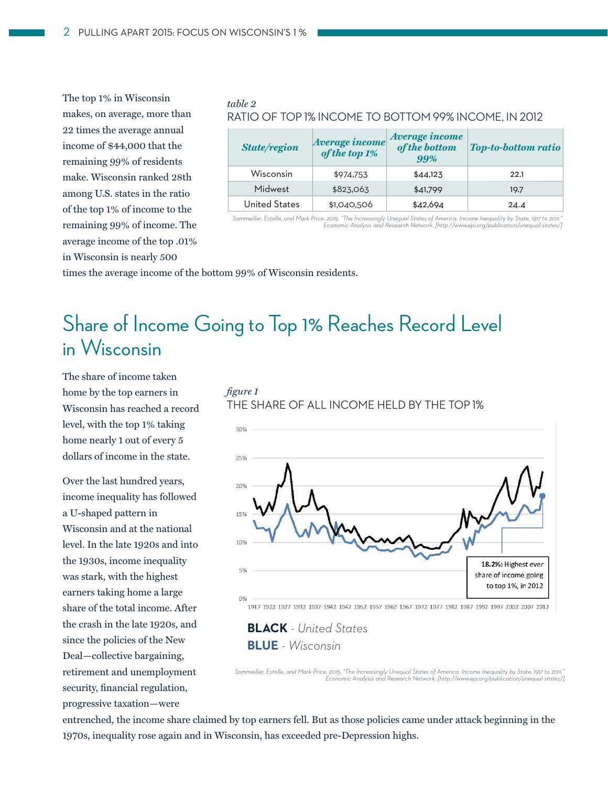The top 1% in Wisconsin makes, on average, more than 22 times the average annual income of \$44,000 that the remaining 99% of residents make. Wisconsin ranked 28th among U.S. states in the ratio of the top 1% of income to the remaining 99% of income. The average income of the top .01% in Wisconsin is nearly 500

### table 2 *table 2*  RATIO OF TOP 1% INCOME TO BOTTOM 99% INCOME, IN 2012

| <b>State/region</b> | Average income<br>of the top 1% | Average income<br>of the bottom<br>99% | <b>Top-to-bottom ratio</b> |
|---------------------|---------------------------------|----------------------------------------|----------------------------|
| Wisconsin           | \$974,753                       | \$44,123                               | 22.1                       |
| Midwest             | \$823,063                       | \$41,799                               | 19.7                       |
| United States       | \$1,040,506                     | \$42,694                               | 24.4                       |

"Sommeiller, Estelle, and Mark Price. 2015. "The Increasingly Unequal States of America. Income Inequality by State, 1917 to 2011."<br>[/Economic Analysis and Research Network. [http://www.epi.org/publication/unequal·states

times the average income of the bottom 99% of Wisconsin residents.

## Share of Income Going to Top 1% Reaches Record Level in Wisconsin

The share of income taken home by the top earners in Wisconsin has reached a record level, with the top 1% taking home nearly 1 out of every 5 dollars of income in the state.

Over the last hundred years, income inequality has followed a U-shaped pattern in Wisconsin and at the national level. In the late 1920s and into the 1930s, income inequality was stark, with the highest earners taking home a large share of the total income. After the crash in the late 1920s, and since the policies of the New Deal—collective bargaining, retirement and unemployment security, financial regulation, progressive taxation—were





**BLACK** *- United States* **BLUE** *- Wisconsin* 

*Sommeiller, Estelle, and Mark Price. 2015. "The Increasingly Unequal States of America. Income Inequality by State, 1917 to 2011." Economic Analysis and Research Network. [http://www.epi.org/publication/unequal-states/]*

entrenched, the income share claimed by top earners fell. But as those policies came under attack beginning in the 1970s, inequality rose again and in Wisconsin, has exceeded pre-Depression highs.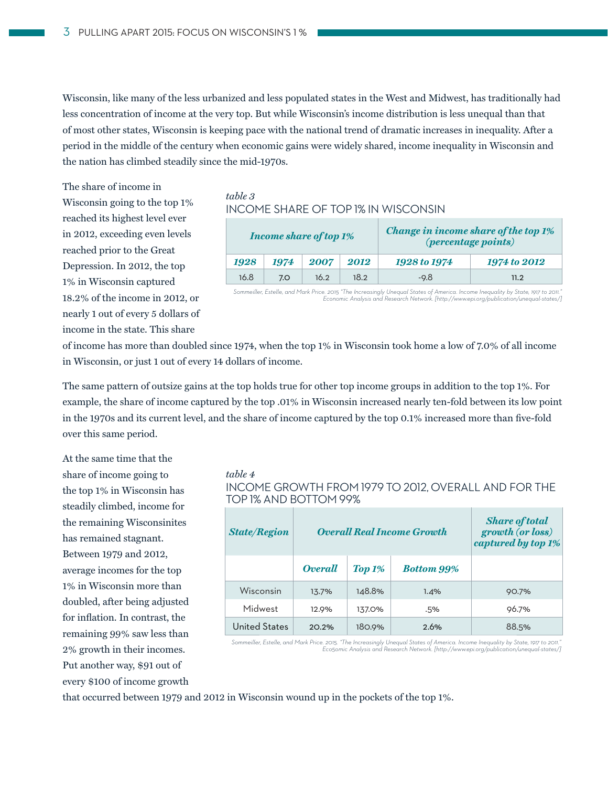Wisconsin, like many of the less urbanized and less populated states in the West and Midwest, has traditionally had less concentration of income at the very top. But while Wisconsin's income distribution is less unequal than that of most other states, Wisconsin is keeping pace with the national trend of dramatic increases in inequality. After a period in the middle of the century when economic gains were widely shared, income inequality in Wisconsin and the nation has climbed steadily since the mid-1970s.

The share of income in

Wisconsin going to the top 1% reached its highest level ever in 2012, exceeding even levels reached prior to the Great Depression. In 2012, the top 1% in Wisconsin captured 18.2% of the income in 2012, or nearly 1 out of every 5 dollars of income in the state. This share

### *table 3* INCOME SHARE OF TOP 1% IN WISCONSIN

| <b>Income share of top 1%</b> |      |      |      | Change in income share of the top 1%<br><i>(percentage points)</i> |              |  |
|-------------------------------|------|------|------|--------------------------------------------------------------------|--------------|--|
| 1928                          | 1974 | 2007 | 2012 | 1928 to 1974                                                       | 1974 to 2012 |  |
| 16.8                          | 7.0  | 16.2 | 18.2 | $-9.8$                                                             | 11.2         |  |

"Sommeiller, Estelle, and Mark Price. 2015 "The Increasingly Unequal States of America. Income Inequality by State, 1917 to 2011."<br>[/Economic Analysis and Research Network. [http://www.epi.org/publication/unequal·states

of income has more than doubled since 1974, when the top 1% in Wisconsin took home a low of 7.0% of all income in Wisconsin, or just 1 out of every 14 dollars of income.

The same pattern of outsize gains at the top holds true for other top income groups in addition to the top 1%. For example, the share of income captured by the top .01% in Wisconsin increased nearly ten-fold between its low point in the 1970s and its current level, and the share of income captured by the top 0.1% increased more than five-fold over this same period.

At the same time that the share of income going to the top 1% in Wisconsin has steadily climbed, income for the remaining Wisconsinites has remained stagnant. Between 1979 and 2012, average incomes for the top 1% in Wisconsin more than doubled, after being adjusted for inflation. In contrast, the remaining 99% saw less than 2% growth in their incomes. Put another way, \$91 out of every \$100 of income growth

*table 4* INCOME GROWTH FROM 1979 TO 2012, OVERALL AND FOR THE TOP 1% AND BOTTOM 99%

| <b>State/Region</b> |                | <b>Overall Real Income Growth</b> | <b>Share of total</b><br>growth (or loss)<br>captured by top 1% |       |
|---------------------|----------------|-----------------------------------|-----------------------------------------------------------------|-------|
|                     | <b>Overall</b> | $\Gamma$ op 1%                    | <b>Bottom 9.9%</b>                                              |       |
| Wisconsin           | 13.7%          | 148.8%                            | 1.4%                                                            | 90.7% |
| Midwest             | 12.9%          | 137.0%                            | .5%                                                             | 96.7% |
| United States       | 20.2%          | 180.9%                            | 2.6%                                                            | 88.5% |

*Sommeiller, Estelle, and Mark Price. 2015. "The Increasingly Unequal States of America. Income Inequality by State, 1917 to 2011." Eco5omic Analysis and Research Network. [http://www.epi.org/publication/unequal-states/]*

that occurred between 1979 and 2012 in Wisconsin wound up in the pockets of the top 1%.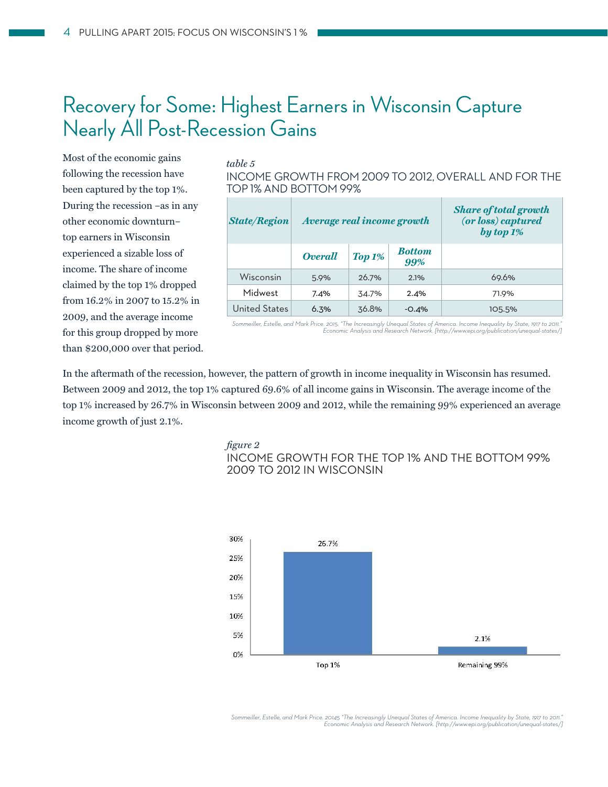### Recovery for Some: Highest Earners in Wisconsin Capture Nearly All Post-Recession Gains

Most of the economic gains following the recession have been captured by the top 1%. During the recession –as in any other economic downturn– top earners in Wisconsin experienced a sizable loss of income. The share of income claimed by the top 1% dropped from 16.2% in 2007 to 15.2% in 2009, and the average income for this group dropped by more than \$200,000 over that period.

### $table 5$

*table 5* INCOME GROWTH FROM 2009 TO 2012, OVERALL AND FOR THE TOP 1% AND BOTTOM 99%

| <b>State/Region</b> | Average real income growth |                     |                      | <b>Share of total growth</b><br>(or loss) captured<br>by top $1\%$ |
|---------------------|----------------------------|---------------------|----------------------|--------------------------------------------------------------------|
|                     | <b>Overall</b>             | $\mathbf{Top}\,1\%$ | <b>Bottom</b><br>99% |                                                                    |
| Wisconsin           | 5.9%                       | 26.7%               | 2.1%                 | 69.6%                                                              |
| Midwest             | 7.4%                       | 34.7%               | 2.4%                 | 71.9%                                                              |
| United States       | 6.3%                       | 36.8%               | $-0.4%$              | 105.5%                                                             |

*Sommeiller, Estelle, and Mark Price. 2015. "The Increasingly Unequal States of America. Income Inequality by State, 1917 to 2011." Economic Analysis and Research Network. [http://www.epi.org/publication/unequal-states/]*

In the aftermath of the recession, however, the pattern of growth in income inequality in Wisconsin has resumed. Between 2009 and 2012, the top 1% captured 69.6% of all income gains in Wisconsin. The average income of the top 1% increased by 26.7% in Wisconsin between 2009 and 2012, while the remaining 99% experienced an average income growth of just 2.1%.

*fi gure 2* INCOME GROWTH FOR THE TOP 1% AND THE BOTTOM 99% 2009 TO 2012 IN WISCONSIN



*Sommeiller, Estelle, and Mark Price. 20145 "The Increasingly Unequal States of America. Income Inequality by State, 1917 to 2011." Economic Analysis and Research Network. [http://www.epi.org/publication/unequal-states/]*